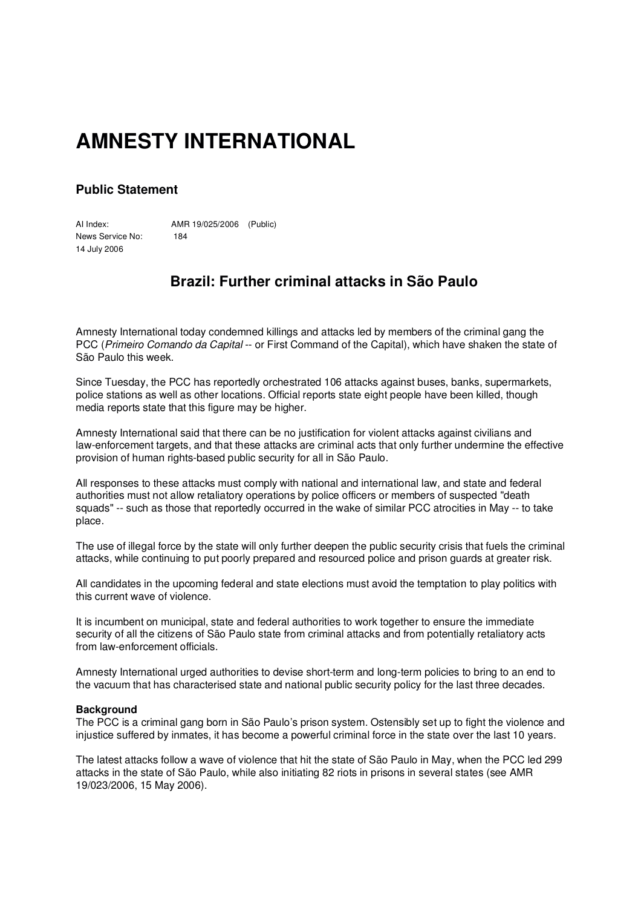## **AMNESTY INTERNATIONAL**

## **Public Statement**

AI Index: AMR 19/025/2006 (Public) News Service No: 184 14 July 2006

## **Brazil: Further criminal attacks in São Paulo**

Amnesty International today condemned killings and attacks led by members of the criminal gang the PCC (*Primeiro Comando da Capital* -- or First Command of the Capital), which have shaken the state of São Paulo this week.

Since Tuesday, the PCC has reportedly orchestrated 106 attacks against buses, banks, supermarkets, police stations as well as other locations. Official reports state eight people have been killed, though media reports state that this figure may be higher.

Amnesty International said that there can be no justification for violent attacks against civilians and law-enforcement targets, and that these attacks are criminal acts that only further undermine the effective provision of human rights-based public security for all in São Paulo.

All responses to these attacks must comply with national and international law, and state and federal authorities must not allow retaliatory operations by police officers or members of suspected "death squads" -- such as those that reportedly occurred in the wake of similar PCC atrocities in May -- to take place.

The use of illegal force by the state will only further deepen the public security crisis that fuels the criminal attacks, while continuing to put poorly prepared and resourced police and prison guards at greater risk.

All candidates in the upcoming federal and state elections must avoid the temptation to play politics with this current wave of violence.

It is incumbent on municipal, state and federal authorities to work together to ensure the immediate security of all the citizens of São Paulo state from criminal attacks and from potentially retaliatory acts from law-enforcement officials.

Amnesty International urged authorities to devise short-term and long-term policies to bring to an end to the vacuum that has characterised state and national public security policy for the last three decades.

## **Background**

The PCC is a criminal gang born in São Paulo's prison system. Ostensibly set up to fight the violence and injustice suffered by inmates, it has become a powerful criminal force in the state over the last 10 years.

The latest attacks follow a wave of violence that hit the state of São Paulo in May, when the PCC led 299 attacks in the state of São Paulo, while also initiating 82 riots in prisons in several states (see AMR 19/023/2006, 15 May 2006).